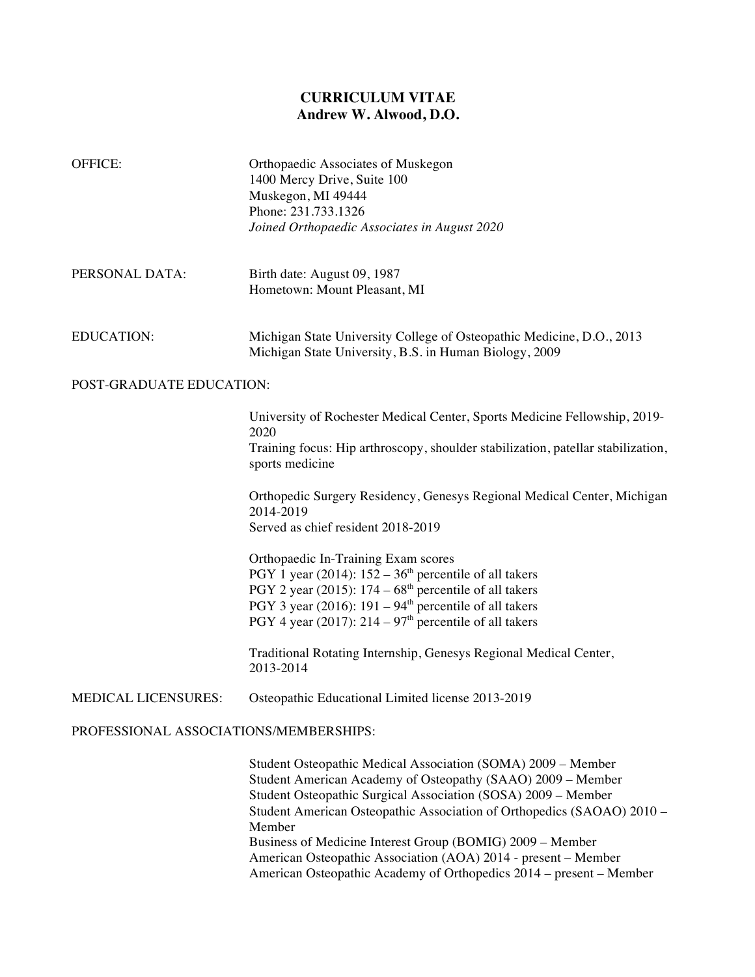## **CURRICULUM VITAE Andrew W. Alwood, D.O.**

| <b>OFFICE:</b>                         | Orthopaedic Associates of Muskegon<br>1400 Mercy Drive, Suite 100<br>Muskegon, MI 49444<br>Phone: 231.733.1326<br>Joined Orthopaedic Associates in August 2020                                                                                                                                                                                                                                                                                                                                                                                                                                                                                                                                              |
|----------------------------------------|-------------------------------------------------------------------------------------------------------------------------------------------------------------------------------------------------------------------------------------------------------------------------------------------------------------------------------------------------------------------------------------------------------------------------------------------------------------------------------------------------------------------------------------------------------------------------------------------------------------------------------------------------------------------------------------------------------------|
| PERSONAL DATA:                         | Birth date: August 09, 1987<br>Hometown: Mount Pleasant, MI                                                                                                                                                                                                                                                                                                                                                                                                                                                                                                                                                                                                                                                 |
| <b>EDUCATION:</b>                      | Michigan State University College of Osteopathic Medicine, D.O., 2013<br>Michigan State University, B.S. in Human Biology, 2009                                                                                                                                                                                                                                                                                                                                                                                                                                                                                                                                                                             |
| POST-GRADUATE EDUCATION:               |                                                                                                                                                                                                                                                                                                                                                                                                                                                                                                                                                                                                                                                                                                             |
|                                        | University of Rochester Medical Center, Sports Medicine Fellowship, 2019-<br>2020<br>Training focus: Hip arthroscopy, shoulder stabilization, patellar stabilization,<br>sports medicine<br>Orthopedic Surgery Residency, Genesys Regional Medical Center, Michigan<br>2014-2019<br>Served as chief resident 2018-2019<br>Orthopaedic In-Training Exam scores<br>PGY 1 year (2014): $152 - 36th$ percentile of all takers<br>PGY 2 year (2015): $174 - 68$ <sup>th</sup> percentile of all takers<br>PGY 3 year (2016): $191 - 94th$ percentile of all takers<br>PGY 4 year (2017): $214 - 97th$ percentile of all takers<br>Traditional Rotating Internship, Genesys Regional Medical Center,<br>2013-2014 |
| MEDICAL LICENSURES:                    | Osteopathic Educational Limited license 2013-2019                                                                                                                                                                                                                                                                                                                                                                                                                                                                                                                                                                                                                                                           |
| PROFESSIONAL ASSOCIATIONS/MEMBERSHIPS: |                                                                                                                                                                                                                                                                                                                                                                                                                                                                                                                                                                                                                                                                                                             |
|                                        | Student Osteopathic Medical Association (SOMA) 2009 – Member<br>Student American Academy of Osteopathy (SAAO) 2009 - Member<br>Student Osteopathic Surgical Association (SOSA) 2009 - Member<br>Student American Osteopathic Association of Orthopedics (SAOAO) 2010 -<br>Member                                                                                                                                                                                                                                                                                                                                                                                                                            |

Business of Medicine Interest Group (BOMIG) 2009 – Member American Osteopathic Association (AOA) 2014 - present – Member American Osteopathic Academy of Orthopedics 2014 – present – Member